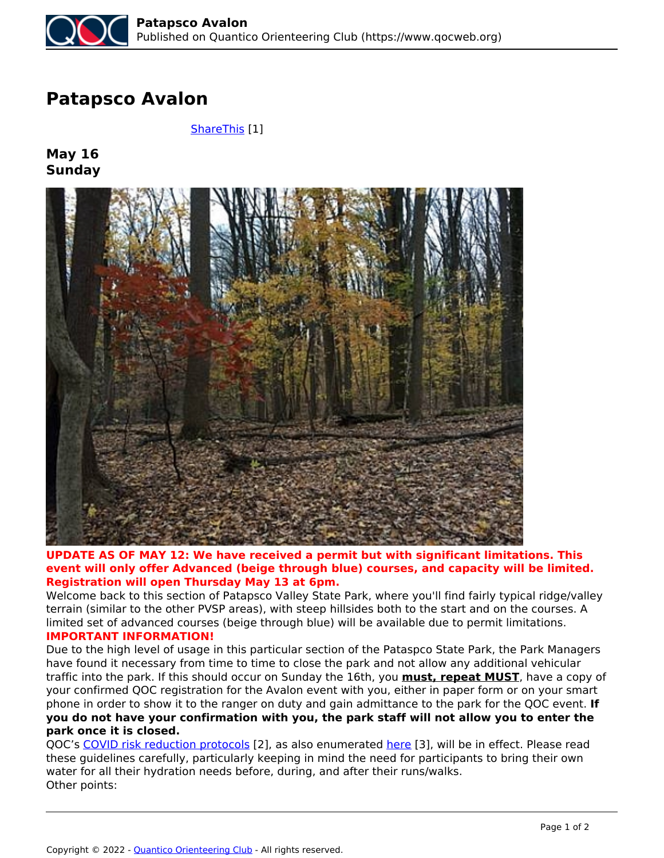## **Patapsco Avalon**

 *[ShareThis](https://www.qocweb.org/events/2021/5/16/patapsco-avalon) [1]*

**May 16 Sunday**



## **UPDATE AS OF MAY 12: We have received a permit but with significant limitations. This event will only offer Advanced (beige through blue) courses, and capacity will be limited. Registration will open Thursday May 13 at 6pm.**

*Welcome back to this section of Patapsco Valley State Park, where you'll find fairly typical ridge/valley terrain (similar to the other PVSP areas), with steep hillsides both to the start and on the courses. A limited set of advanced courses (beige through blue) will be available due to permit limitations.* **IMPORTANT INFORMATION!**

## *Due to the high level of usage in this particular section of the Pataspco State Park, the Park Managers have found it necessary from time to time to close the park and not allow any additional vehicular traffic into the park. If this should occur on Sunday the 16th, you* **must, repeat MUST***, have a copy of your confirmed QOC registration for the Avalon event with you, either in paper form or on your smart phone in order to show it to the ranger on duty and gain admittance to the park for the QOC event.* **If you do not have your confirmation with you, the park staff will not allow you to enter the park once it is closed.**

*QOC's COVID risk reduction protocols [2], as also enumerated here [3], will be in effect. Please read these guidelines carefully, particularly keeping in mind the need for participants to bring their own water for all their hydration needs before, during, and after their runs/walks. Other points:*